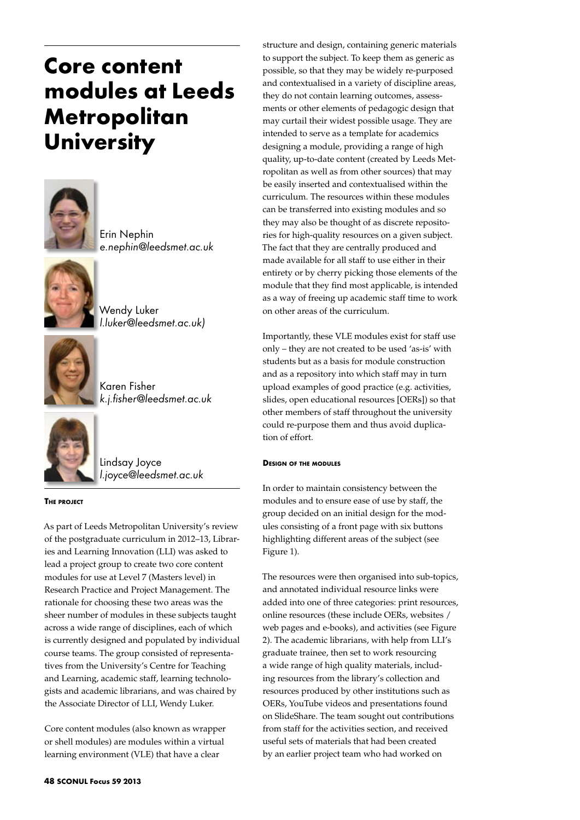# **Core content modules at Leeds Metropolitan University**



Erin Nephin *e.nephin@leedsmet.ac.uk* 



Wendy Luker *l.luker@leedsmet.ac.uk)* 



Karen Fisher *k.j.fisher@leedsmet.ac.uk* 



Lindsay Joyce *l.joyce@leedsmet.ac.uk* 

# **The project**

As part of Leeds Metropolitan University's review of the postgraduate curriculum in 2012–13, Libraries and Learning Innovation (LLI) was asked to lead a project group to create two core content modules for use at Level 7 (Masters level) in Research Practice and Project Management. The rationale for choosing these two areas was the sheer number of modules in these subjects taught across a wide range of disciplines, each of which is currently designed and populated by individual course teams. The group consisted of representatives from the University's Centre for Teaching and Learning, academic staff, learning technologists and academic librarians, and was chaired by the Associate Director of LLI, Wendy Luker.

Core content modules (also known as wrapper or shell modules) are modules within a virtual learning environment (VLE) that have a clear

structure and design, containing generic materials to support the subject. To keep them as generic as possible, so that they may be widely re-purposed and contextualised in a variety of discipline areas, they do not contain learning outcomes, assessments or other elements of pedagogic design that may curtail their widest possible usage. They are intended to serve as a template for academics designing a module, providing a range of high quality, up-to-date content (created by Leeds Metropolitan as well as from other sources) that may be easily inserted and contextualised within the curriculum. The resources within these modules can be transferred into existing modules and so they may also be thought of as discrete repositories for high-quality resources on a given subject. The fact that they are centrally produced and made available for all staff to use either in their entirety or by cherry picking those elements of the module that they find most applicable, is intended as a way of freeing up academic staff time to work on other areas of the curriculum.

Importantly, these VLE modules exist for staff use only – they are not created to be used 'as-is' with students but as a basis for module construction and as a repository into which staff may in turn upload examples of good practice (e.g. activities, slides, open educational resources [OERs]) so that other members of staff throughout the university could re-purpose them and thus avoid duplication of effort.

# **Design of the modules**

In order to maintain consistency between the modules and to ensure ease of use by staff, the group decided on an initial design for the modules consisting of a front page with six buttons highlighting different areas of the subject (see Figure 1).

The resources were then organised into sub-topics, and annotated individual resource links were added into one of three categories: print resources, online resources (these include OERs, websites / web pages and e-books), and activities (see Figure 2). The academic librarians, with help from LLI's graduate trainee, then set to work resourcing a wide range of high quality materials, including resources from the library's collection and resources produced by other institutions such as OERs, YouTube videos and presentations found on SlideShare. The team sought out contributions from staff for the activities section, and received useful sets of materials that had been created by an earlier project team who had worked on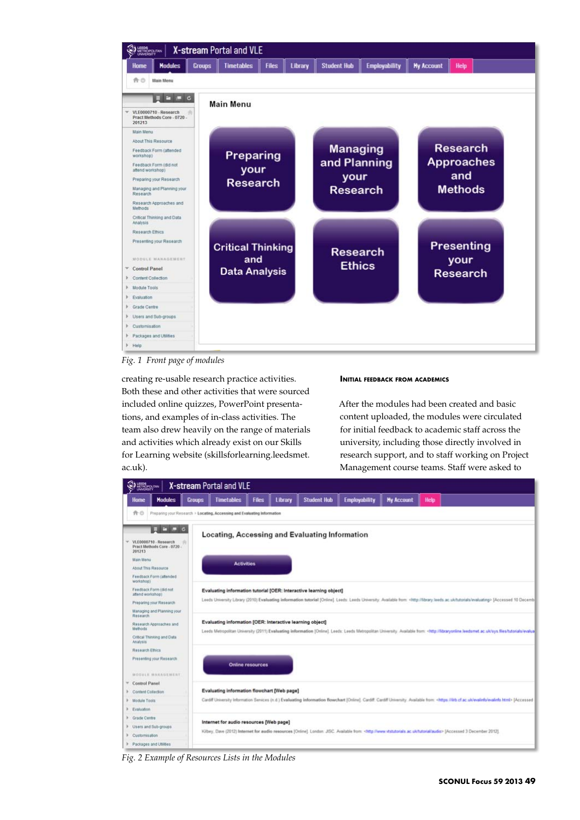

*Fig. 1 Front page of modules*

creating re-usable research practice activities. Both these and other activities that were sourced included online quizzes, PowerPoint presentations, and examples of in-class activities. The team also drew heavily on the range of materials and activities which already exist on our Skills for Learning website (skillsforlearning.leedsmet. ac.uk).

## **Initial feedback from academics**

After the modules had been created and basic content uploaded, the modules were circulated for initial feedback to academic staff across the university, including those directly involved in research support, and to staff working on Project Management course teams. Staff were asked to



*Fig. 2 Example of Resources Lists in the Modules*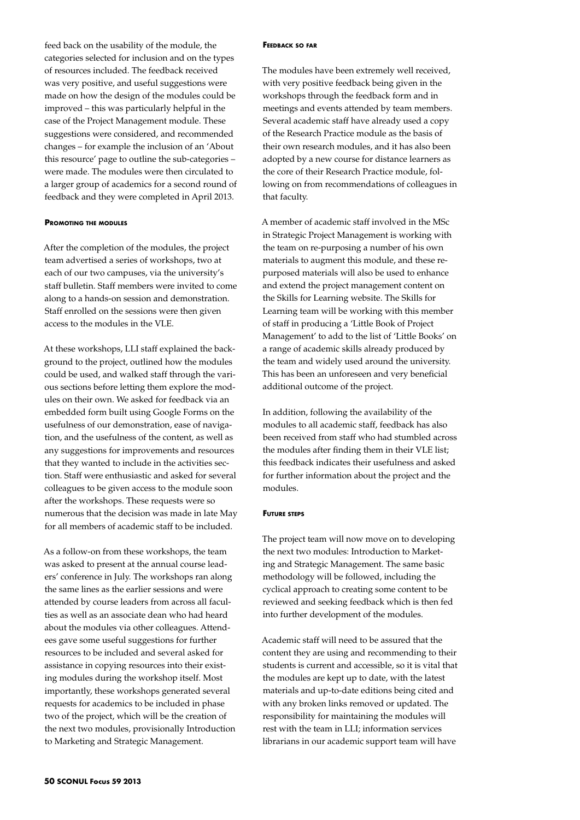feed back on the usability of the module, the categories selected for inclusion and on the types of resources included. The feedback received was very positive, and useful suggestions were made on how the design of the modules could be improved – this was particularly helpful in the case of the Project Management module. These suggestions were considered, and recommended changes – for example the inclusion of an 'About this resource' page to outline the sub-categories – were made. The modules were then circulated to a larger group of academics for a second round of feedback and they were completed in April 2013.

### **Promoting the modules**

After the completion of the modules, the project team advertised a series of workshops, two at each of our two campuses, via the university's staff bulletin. Staff members were invited to come along to a hands-on session and demonstration. Staff enrolled on the sessions were then given access to the modules in the VLE.

At these workshops, LLI staff explained the background to the project, outlined how the modules could be used, and walked staff through the various sections before letting them explore the modules on their own. We asked for feedback via an embedded form built using Google Forms on the usefulness of our demonstration, ease of navigation, and the usefulness of the content, as well as any suggestions for improvements and resources that they wanted to include in the activities section. Staff were enthusiastic and asked for several colleagues to be given access to the module soon after the workshops. These requests were so numerous that the decision was made in late May for all members of academic staff to be included.

As a follow-on from these workshops, the team was asked to present at the annual course leaders' conference in July. The workshops ran along the same lines as the earlier sessions and were attended by course leaders from across all faculties as well as an associate dean who had heard about the modules via other colleagues. Attendees gave some useful suggestions for further resources to be included and several asked for assistance in copying resources into their existing modules during the workshop itself. Most importantly, these workshops generated several requests for academics to be included in phase two of the project, which will be the creation of the next two modules, provisionally Introduction to Marketing and Strategic Management.

#### **Feedback so far**

The modules have been extremely well received, with very positive feedback being given in the workshops through the feedback form and in meetings and events attended by team members. Several academic staff have already used a copy of the Research Practice module as the basis of their own research modules, and it has also been adopted by a new course for distance learners as the core of their Research Practice module, following on from recommendations of colleagues in that faculty.

A member of academic staff involved in the MSc in Strategic Project Management is working with the team on re-purposing a number of his own materials to augment this module, and these repurposed materials will also be used to enhance and extend the project management content on the Skills for Learning website. The Skills for Learning team will be working with this member of staff in producing a 'Little Book of Project Management' to add to the list of 'Little Books' on a range of academic skills already produced by the team and widely used around the university. This has been an unforeseen and very beneficial additional outcome of the project.

In addition, following the availability of the modules to all academic staff, feedback has also been received from staff who had stumbled across the modules after finding them in their VLE list; this feedback indicates their usefulness and asked for further information about the project and the modules.

#### **Future steps**

The project team will now move on to developing the next two modules: Introduction to Marketing and Strategic Management. The same basic methodology will be followed, including the cyclical approach to creating some content to be reviewed and seeking feedback which is then fed into further development of the modules.

Academic staff will need to be assured that the content they are using and recommending to their students is current and accessible, so it is vital that the modules are kept up to date, with the latest materials and up-to-date editions being cited and with any broken links removed or updated. The responsibility for maintaining the modules will rest with the team in LLI; information services librarians in our academic support team will have